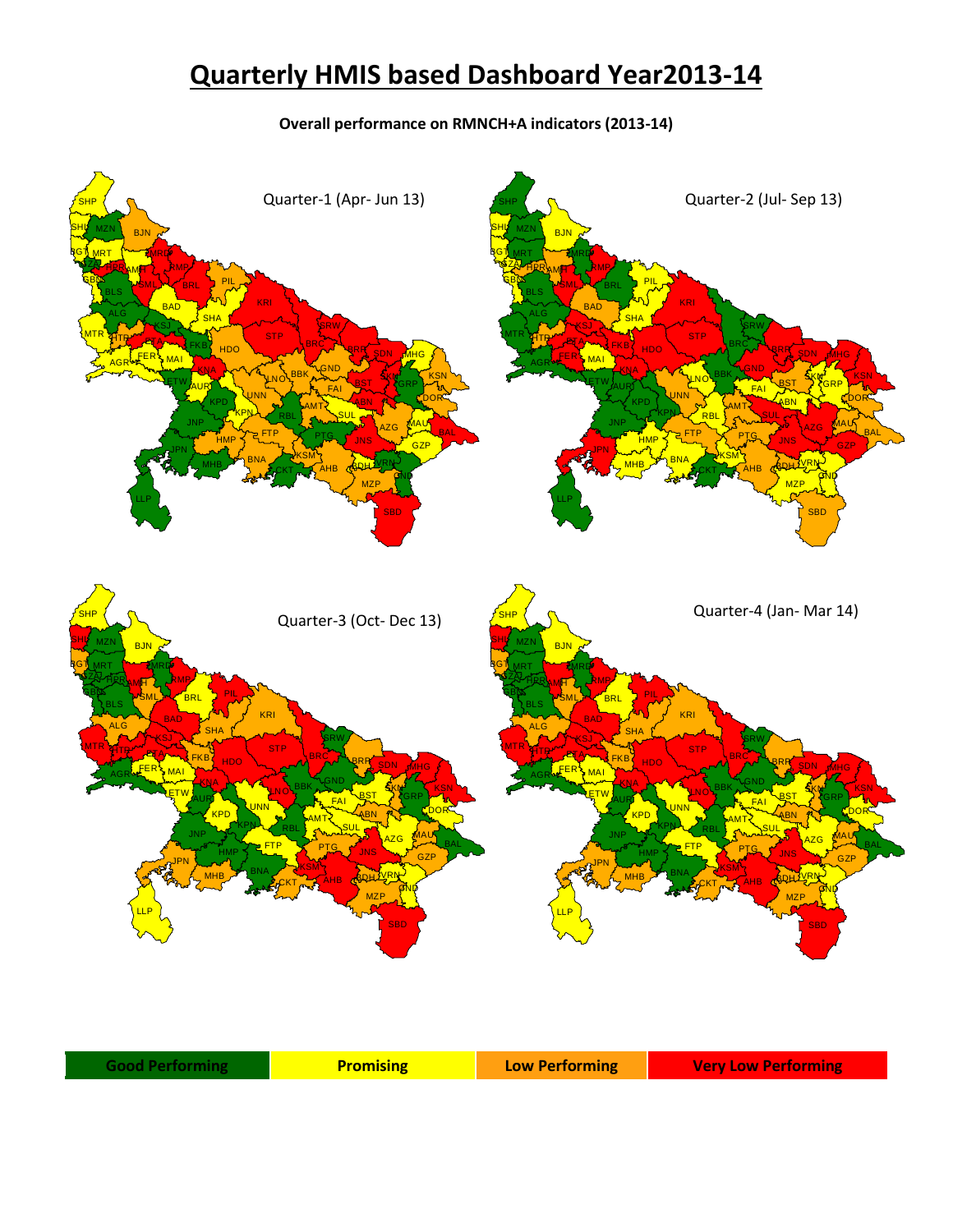## **Quarterly HMIS based Dashboard Year2013-14**

**Overall performance on RMNCH+A indicators (2013-14)**

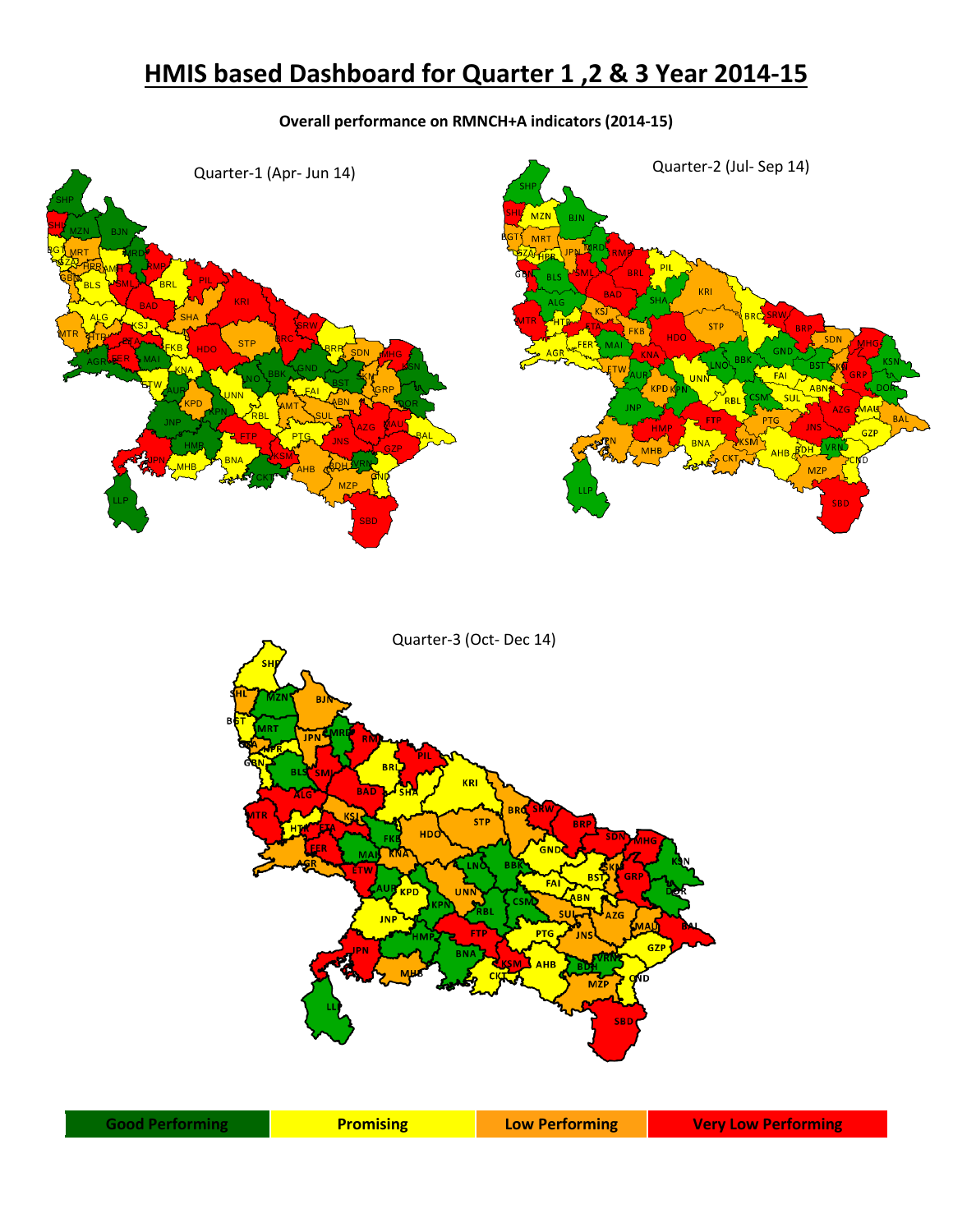## **HMIS based Dashboard for Quarter 1 ,2 & 3 Year 2014-15**

## **Overall performance on RMNCH+A indicators (2014-15)**



| <b>Good Performing</b> | <b>Promising</b> | <b>Low Performing</b> | <b>Very Low Performing</b> |
|------------------------|------------------|-----------------------|----------------------------|
|------------------------|------------------|-----------------------|----------------------------|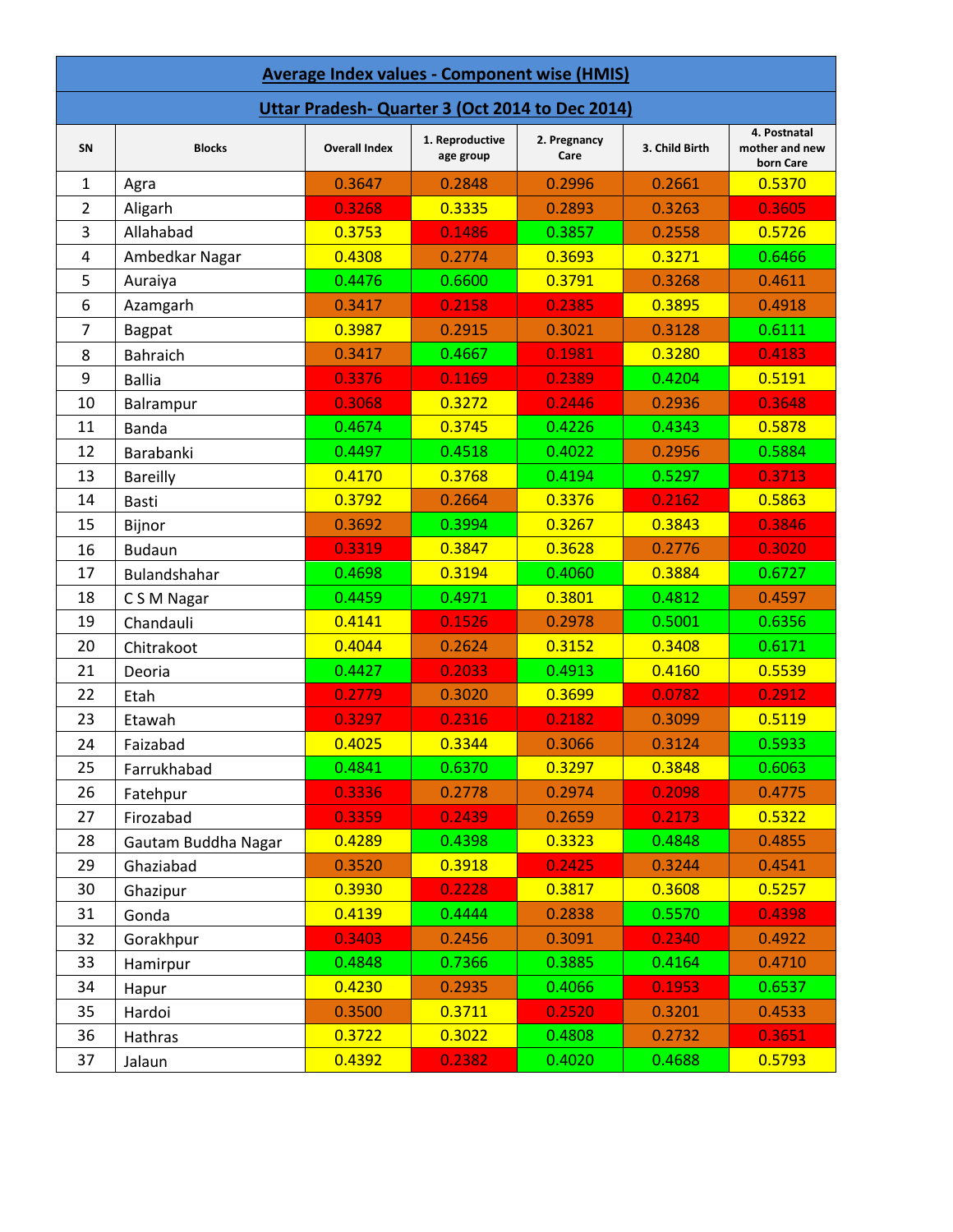| <b>Average Index values - Component wise (HMIS)</b> |                     |                      |                              |                      |                |                                             |  |
|-----------------------------------------------------|---------------------|----------------------|------------------------------|----------------------|----------------|---------------------------------------------|--|
| Uttar Pradesh- Quarter 3 (Oct 2014 to Dec 2014)     |                     |                      |                              |                      |                |                                             |  |
| SN                                                  | <b>Blocks</b>       | <b>Overall Index</b> | 1. Reproductive<br>age group | 2. Pregnancy<br>Care | 3. Child Birth | 4. Postnatal<br>mother and new<br>born Care |  |
| 1                                                   | Agra                | 0.3647               | 0.2848                       | 0.2996               | 0.2661         | 0.5370                                      |  |
| $\overline{2}$                                      | Aligarh             | 0.3268               | 0.3335                       | 0.2893               | 0.3263         | 0.3605                                      |  |
| 3                                                   | Allahabad           | 0.3753               | 0.1486                       | 0.3857               | 0.2558         | 0.5726                                      |  |
| 4                                                   | Ambedkar Nagar      | 0.4308               | 0.2774                       | 0.3693               | 0.3271         | 0.6466                                      |  |
| 5                                                   | Auraiya             | 0.4476               | 0.6600                       | 0.3791               | 0.3268         | 0.4611                                      |  |
| 6                                                   | Azamgarh            | 0.3417               | 0.2158                       | 0.2385               | 0.3895         | 0.4918                                      |  |
| 7                                                   | <b>Bagpat</b>       | 0.3987               | 0.2915                       | 0.3021               | 0.3128         | 0.6111                                      |  |
| 8                                                   | <b>Bahraich</b>     | 0.3417               | 0.4667                       | 0.1981               | 0.3280         | 0.4183                                      |  |
| 9                                                   | <b>Ballia</b>       | 0.3376               | 0.1169                       | 0.2389               | 0.4204         | 0.5191                                      |  |
| 10                                                  | Balrampur           | 0.3068               | 0.3272                       | 0.2446               | 0.2936         | 0.3648                                      |  |
| 11                                                  | Banda               | 0.4674               | 0.3745                       | 0.4226               | 0.4343         | 0.5878                                      |  |
| 12                                                  | Barabanki           | 0.4497               | 0.4518                       | 0.4022               | 0.2956         | 0.5884                                      |  |
| 13                                                  | <b>Bareilly</b>     | 0.4170               | 0.3768                       | 0.4194               | 0.5297         | 0.3713                                      |  |
| 14                                                  | Basti               | 0.3792               | 0.2664                       | 0.3376               | 0.2162         | 0.5863                                      |  |
| 15                                                  | Bijnor              | 0.3692               | 0.3994                       | 0.3267               | 0.3843         | 0.3846                                      |  |
| 16                                                  | <b>Budaun</b>       | 0.3319               | 0.3847                       | 0.3628               | 0.2776         | 0.3020                                      |  |
| 17                                                  | Bulandshahar        | 0.4698               | 0.3194                       | 0.4060               | 0.3884         | 0.6727                                      |  |
| 18                                                  | C S M Nagar         | 0.4459               | 0.4971                       | 0.3801               | 0.4812         | 0.4597                                      |  |
| 19                                                  | Chandauli           | 0.4141               | 0.1526                       | 0.2978               | 0.5001         | 0.6356                                      |  |
| 20                                                  | Chitrakoot          | 0.4044               | 0.2624                       | 0.3152               | 0.3408         | 0.6171                                      |  |
| 21                                                  | Deoria              | 0.4427               | 0.2033                       | 0.4913               | 0.4160         | 0.5539                                      |  |
| 22                                                  | Etah                | 0.2779               | 0.3020                       | 0.3699               | 0.0782         | 0.2912                                      |  |
| 23                                                  | Etawah              | 0.3297               | 0.2316                       | 0.2182               | 0.3099         | 0.5119                                      |  |
| 24                                                  | Faizabad            | 0.4025               | 0.3344                       | 0.3066               | 0.3124         | 0.5933                                      |  |
| 25                                                  | Farrukhabad         | 0.4841               | 0.6370                       | 0.3297               | 0.3848         | 0.6063                                      |  |
| 26                                                  | Fatehpur            | 0.3336               | 0.2778                       | 0.2974               | 0.2098         | 0.4775                                      |  |
| 27                                                  | Firozabad           | 0.3359               | 0.2439                       | 0.2659               | 0.2173         | 0.5322                                      |  |
| 28                                                  | Gautam Buddha Nagar | 0.4289               | 0.4398                       | 0.3323               | 0.4848         | 0.4855                                      |  |
| 29                                                  | Ghaziabad           | 0.3520               | 0.3918                       | 0.2425               | 0.3244         | 0.4541                                      |  |
| 30                                                  | Ghazipur            | 0.3930               | 0.2228                       | 0.3817               | 0.3608         | 0.5257                                      |  |
| 31                                                  | Gonda               | 0.4139               | 0.4444                       | 0.2838               | 0.5570         | 0.4398                                      |  |
| 32                                                  | Gorakhpur           | 0.3403               | 0.2456                       | 0.3091               | 0.2340         | 0.4922                                      |  |
| 33                                                  | Hamirpur            | 0.4848               | 0.7366                       | 0.3885               | 0.4164         | 0.4710                                      |  |
| 34                                                  | Hapur               | 0.4230               | 0.2935                       | 0.4066               | 0.1953         | 0.6537                                      |  |
| 35                                                  | Hardoi              | 0.3500               | 0.3711                       | 0.2520               | 0.3201         | 0.4533                                      |  |
| 36                                                  | Hathras             | 0.3722               | 0.3022                       | 0.4808               | 0.2732         | 0.3651                                      |  |
| 37                                                  | Jalaun              | 0.4392               | 0.2382                       | 0.4020               | 0.4688         | 0.5793                                      |  |